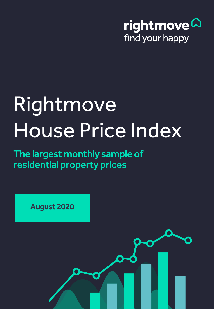

# Rightmove House Price Index

The largest monthly sample of residential property prices

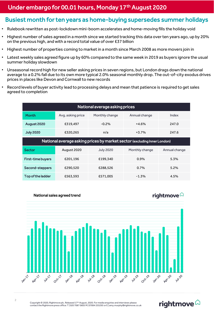### Under embargo for 00.01 hours, Monday 17<sup>th</sup> August 2020

#### Busiest month for ten years as home-buying supersedes summer holidays

- Rulebook rewritten as post-lockdown mini-boom accelerates and home-moving fills the holiday void
- Highest number of sales agreed in a month since we started tracking this data over ten years ago, up by 20% on the previous high, and with a record total value of over £37 billion
- Highest number of properties coming to market in a month since March 2008 as more movers join in
- Latest weekly sales agreed figure up by 60% compared to the same week in 2019 as buyers ignore the usual summer holiday slowdown
- Unseasonal record high for new seller asking prices in seven regions, but London drags down the national average to a 0.2% fall due to its own more typical 2.0% seasonal monthly drop. The out-of-city exodus drives prices in places like Devon and Cornwall to new records
- Record levels of buyer activity lead to processing delays and mean that patience is required to get sales agreed to completion

| National average asking prices                                           |                   |                  |                |               |
|--------------------------------------------------------------------------|-------------------|------------------|----------------|---------------|
| <b>Month</b>                                                             | Avg. asking price | Monthly change   | Annual change  | Index         |
| August 2020                                                              | £319,497          | $-0.2%$          | $+4.6%$        | 247.0         |
| <b>July 2020</b>                                                         | £320,265          | n/a              | $+3.7%$        | 247.6         |
| National average asking prices by market sector (excluding Inner London) |                   |                  |                |               |
| <b>Sector</b>                                                            | August 2020       | <b>July 2020</b> | Monthly change | Annual change |
| <b>First-time buyers</b>                                                 | £201.196          | £199.340         | 0.9%           | 5.3%          |
| Second-steppers                                                          | £290,520          | £288,526         | 0.7%           | 5.2%          |
| <b>Top of the ladder</b>                                                 | £563,593          | £571,005         | $-1.3%$        | 4.5%          |



rightmove $\vartriangle$ 

Copyright © 2020, Rightmove plc. Released 17<sup>th</sup> August, 2020. For media enquiries and interviews please<br>contact the Rightmove press office: T | 020 7087 0605 M | 07894 255295 or E | amy.murphy@rightmove.co.uk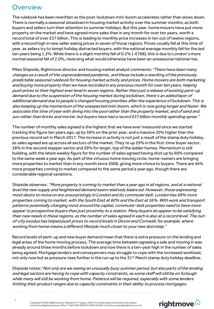# **Overview**

The rulebook has been rewritten as the post-lockdown mini-boom accelerates rather than slows down. There is normally a seasonal slowdown in housing market activity over the summer months, as both buyers and sellers turn their attention to summer holidays. But this year, home movers have put more property on the market and have agreed more sales than in any month for over ten years, worth a record total of over £37 billion. This is leading to monthly price increases in ten out of twelve regions, with a record high in new seller asking prices in seven of those regions. Prices usually fall at this time of year, as sellers try to tempt holiday distracted buyers, with the national average monthly fall for the last ten years being 1.2%. While there is a slight monthly fall of 0.2% (-£768), this is due to London's more normal seasonal fall of 2.0%, reversing what would otherwise have been an unseasonal national rise.

Miles Shipside, Rightmove director and housing market analyst comments: "There have been many changes as a result of the unprecedented pandemic, and these include a rewriting of the previously predictable seasonal rulebook for housing market activity and prices. Home movers are both marketing and buying more property than we have recorded in any previous month for over ten years, helping push prices to their highest ever level in seven regions. Rather than just a release of existing pent-up demand due to the suspension of the housing market during lockdown, there's an added layer of additional demand due to people's changed housing priorities after the experience of lockdown. This is also keeping up the momentum of the unexpected mini-boom, which is now going longer and faster. We associate this time of year with diving into the pool rather than the property market, and of sand and sun rather than bricks and mortar, but buyers have had a record £37 billion monthly spending spree."

The number of monthly sales agreed is the highest that we have ever measured since we started tracking this figure ten years ago, up by 38% on the prior year, and a massive 20% higher than the previous record set in March 2017. The increase in activity is not just a result of the stamp duty holiday, as sales agreed are up across all sectors of the market. They're up 29% in the first-time buyer sector, 38% in the second stepper sector and 59% for larger, top of the ladder homes. Momentum is still building, with the latest weekly figure for the number of sales agreed having shot up by 60% compared to the same week a year ago. As part of the virtuous home moving circle, home-owners are bringing more properties to market than in any month since 2008, giving more choice to buyers. There are 44% more properties coming to market compared to the same period a year ago, though there are considerable regional variations.

Shipside observes: "More property is coming to market than a year ago in all regions, and at a national level the new supply and heightened demand seem relatively balanced. However, those expressing most desire to move on are unsurprisingly in London and its commuter belt. London has 69% more properties coming to market, with the South East at 60% and the East at 56%. With work and transport patterns potentially changing most around the capital, commuter-belt properties need to have more appeal to prospective buyers than just proximity to a station. Many buyers do appear to be satisfying their new needs in these regions, as the number of sales agreed in each is also at a record level. The outof-city exodus has helped push prices to record levels in Devon and Cornwall, for example, where working from home means a different lifestyle much closer to your new doorstep."

Record levels of pent-up and new buyer demand mean that there is extra pressure on the lending and legal areas of the home moving process. The average time between agreeing a sale and moving in was already around three months before lockdown and now there is a ten-year high in the number of sales being agreed. Mortgage lenders and conveyancers may struggle to cope with the increased workload, not only now but as pressure rises further in the run up to the 31<sup>st</sup> March stamp duty holiday deadline.

Shipside notes: "Not only are we seeing an unusually busy summer period, but also parts of the lending and legal sectors are having to cope with capacity constraints, as some staff will still be on furlough while many will still be working from home. Patience will be required, especially with some lenders limiting their product ranges due to capacity constraints in their ability to process mortgages.

rightmove<sup>2</sup>

Copyright © 2020, Rightmove plc. Released 17<sup>th</sup> August, 2020. For media enquiries and interviews please<br>contact the Rightmove press office: T | 020 7087 0605 M | 07894 255295 or E | amy.murphy@rightmove.co.uk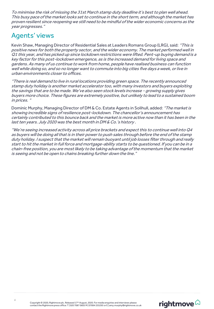To minimise the risk of missing the 31st March stamp duty deadline it's best to plan well ahead. This busy pace of the market looks set to continue in the short term, and although the market has proven resilient since reopening we still need to be mindful of the wider economic concerns as the year progresses."

# Agents' views

Kevin Shaw, Managing Director of Residential Sales at Leaders Romans Group (LRG), said: "This is positive news for both the property sector, and the wider economy. The market performed well in Q1 this year, and has picked up since lockdown restrictions were lifted. Pent-up buying demand is a key factor for this post-lockdown emergence, as is the increased demand for living space and gardens. As many of us continue to work from home, people have realised business can function well while doing so, and so no longer want to commute into big cities five days a week, or live in urban environments closer to offices.

"There is real demand to live in rural locations providing green space. The recently announced stamp duty holiday is another market accelerator too, with many investors and buyers exploiting the savings that are to be made. We've also seen stock levels increase - growing supply gives buyers more choice. These figures are extremely positive, but unlikely to lead to a sustained boom in prices. "

Dominic Murphy, Managing Director of DM & Co. Estate Agents in Solihull, added: "The market is showing incredible signs of resilience post-lockdown. The chancellor's announcement has certainly contributed to this bounce back and the market is more active now than it has been in the last ten years. July 2020 was the best month in DM & Co.'s history .

"We're seeing increased activity across all price brackets and expect this to continue well into Q4 as buyers will be doing all that is in their power to push sales through before the end of the stamp duty holiday. I suspect that the market will remain buoyant until job losses filter through and really start to hit the market in full force and mortgage-ability starts to be questioned. If you can be in a chain-free position, you are most likely to be taking advantage of the momentum that the market is seeing and not be open to chains breaking further down the line."

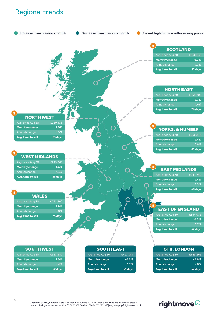# Regional trends



rightmove<sup>2</sup>